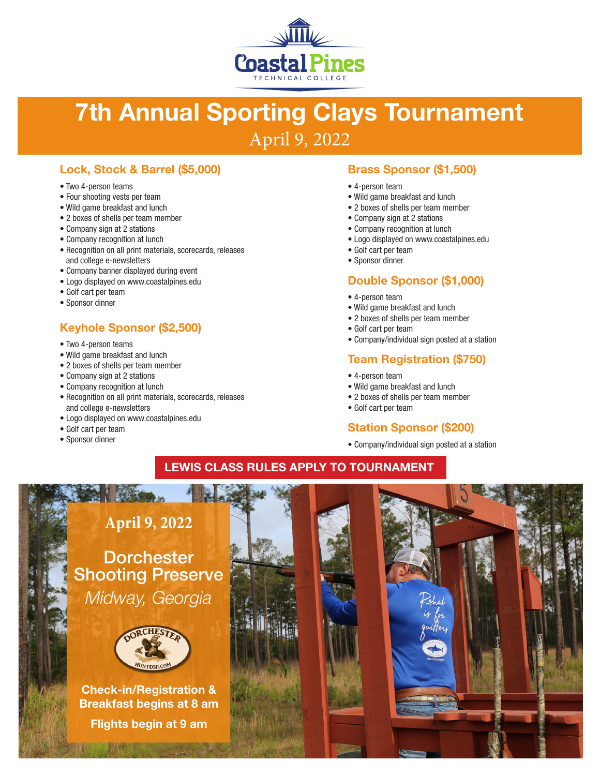

# 7th Annual Sporting Clays Tournament April 9, 2022

#### Lock, Stock & Barrel (\$5,000)

- Two 4-person teams
- Four shooting vests per team
- Wild game breakfast and lunch
- 2 boxes of shells per team member
- Company sign at 2 stations
- Company recognition at lunch
- Recognition on all print materials, scorecards, releases and college e-newsletters
- Company banner displayed during event
- Logo displayed on www.coastalpines.edu
- Golf cart per team
- Sponsor dinner

# Keyhole Sponsor (\$2,500)

- Two 4-person teams
- Wild game breakfast and lunch
- 2 boxes of shells per team member
- Company sign at 2 stations
- Company recognition at lunch
- Recognition on all print materials, scorecards, releases and college e-newsletters
- Logo displayed on www.coastalpines.edu
- Golf cart per team
- Sponsor dinner

#### Brass Sponsor (\$1,500)

- 4-person team
- Wild game breakfast and lunch
- 2 boxes of shells per team member
- Company sign at 2 stations
- Company recognition at lunch
- Logo displayed on www.coastalpines.edu
- Golf cart per team
- Sponsor dinner

#### Double Sponsor (\$1,000)

- 4-person team
- Wild game breakfast and lunch
- 2 boxes of shells per team member
- Golf cart per team
- Company/individual sign posted at a station

#### Team Registration (\$750)

- 4-person team
- Wild game breakfast and lunch
- 2 boxes of shells per team member
- Golf cart per team

#### Station Sponsor (\$200)

• Company/individual sign posted at a station

### LEWIS CLASS RULES APPLY TO TOURNAMENT